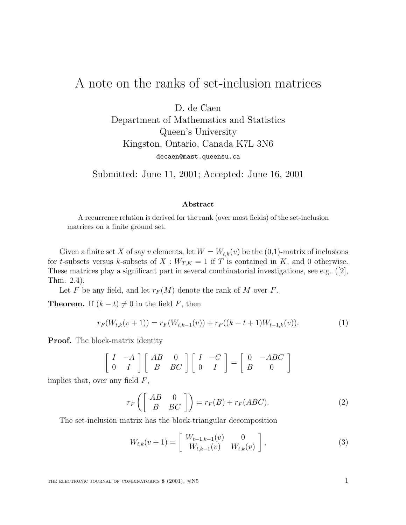## A note on the ranks of set-inclusion matrices

D. de Caen Department of Mathematics and Statistics Queen's University Kingston, Ontario, Canada K7L 3N6

decaen@mast.queensu.ca

Submitted: June 11, 2001; Accepted: June 16, 2001

## **Abstract**

A recurrence relation is derived for the rank (over most fields) of the set-inclusion matrices on a finite ground set.

Given a finite set X of say v elements, let  $W = W_{t,k}(v)$  be the  $(0,1)$ -matrix of inclusions for t-subsets versus k-subsets of  $X : W_{T,K} = 1$  if T is contained in K, and 0 otherwise. These matrices play a significant part in several combinatorial investigations, see e.g. ([2], Thm. 2.4).

Let F be any field, and let  $r_F(M)$  denote the rank of M over F.

**Theorem.** If  $(k - t) \neq 0$  in the field F, then

$$
r_F(W_{t,k}(v+1)) = r_F(W_{t,k-1}(v)) + r_F((k-t+1)W_{t-1,k}(v)).
$$
\n(1)

**Proof.** The block-matrix identity

$$
\begin{bmatrix} I & -A \\ 0 & I \end{bmatrix} \begin{bmatrix} AB & 0 \\ B & BC \end{bmatrix} \begin{bmatrix} I & -C \\ 0 & I \end{bmatrix} = \begin{bmatrix} 0 & -ABC \\ B & 0 \end{bmatrix}
$$

implies that, over any field  $F$ ,

$$
r_F \left( \begin{bmatrix} AB & 0 \ B & BC \end{bmatrix} \right) = r_F(B) + r_F(ABC). \tag{2}
$$

The set-inclusion matrix has the block-triangular decomposition

$$
W_{t,k}(v+1) = \begin{bmatrix} W_{t-1,k-1}(v) & 0 \\ W_{t,k-1}(v) & W_{t,k}(v) \end{bmatrix},
$$
\n(3)

THE ELECTRONIC JOURNAL OF COMBINATORICS **8** (2001),  $\#N5$  1